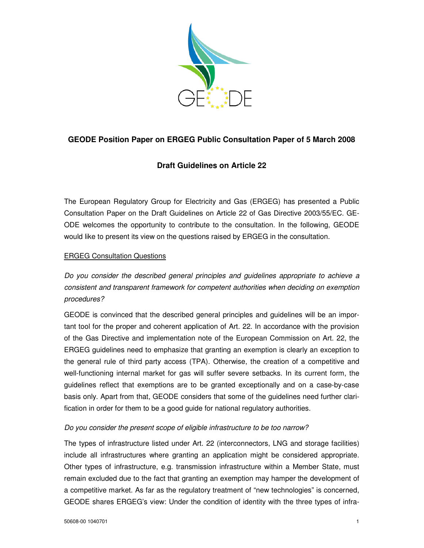

## **GEODE Position Paper on ERGEG Public Consultation Paper of 5 March 2008**

## **Draft Guidelines on Article 22**

The European Regulatory Group for Electricity and Gas (ERGEG) has presented a Public Consultation Paper on the Draft Guidelines on Article 22 of Gas Directive 2003/55/EC. GE-ODE welcomes the opportunity to contribute to the consultation. In the following, GEODE would like to present its view on the questions raised by ERGEG in the consultation.

### ERGEG Consultation Questions

Do you consider the described general principles and guidelines appropriate to achieve a consistent and transparent framework for competent authorities when deciding on exemption procedures?

GEODE is convinced that the described general principles and guidelines will be an important tool for the proper and coherent application of Art. 22. In accordance with the provision of the Gas Directive and implementation note of the European Commission on Art. 22, the ERGEG guidelines need to emphasize that granting an exemption is clearly an exception to the general rule of third party access (TPA). Otherwise, the creation of a competitive and well-functioning internal market for gas will suffer severe setbacks. In its current form, the guidelines reflect that exemptions are to be granted exceptionally and on a case-by-case basis only. Apart from that, GEODE considers that some of the guidelines need further clarification in order for them to be a good guide for national regulatory authorities.

### Do you consider the present scope of eligible infrastructure to be too narrow?

The types of infrastructure listed under Art. 22 (interconnectors, LNG and storage facilities) include all infrastructures where granting an application might be considered appropriate. Other types of infrastructure, e.g. transmission infrastructure within a Member State, must remain excluded due to the fact that granting an exemption may hamper the development of a competitive market. As far as the regulatory treatment of "new technologies" is concerned, GEODE shares ERGEG's view: Under the condition of identity with the three types of infra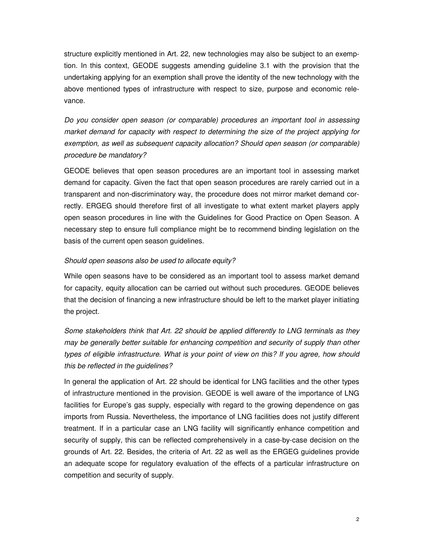structure explicitly mentioned in Art. 22, new technologies may also be subject to an exemption. In this context, GEODE suggests amending guideline 3.1 with the provision that the undertaking applying for an exemption shall prove the identity of the new technology with the above mentioned types of infrastructure with respect to size, purpose and economic relevance.

Do you consider open season (or comparable) procedures an important tool in assessing market demand for capacity with respect to determining the size of the project applying for exemption, as well as subsequent capacity allocation? Should open season (or comparable) procedure be mandatory?

GEODE believes that open season procedures are an important tool in assessing market demand for capacity. Given the fact that open season procedures are rarely carried out in a transparent and non-discriminatory way, the procedure does not mirror market demand correctly. ERGEG should therefore first of all investigate to what extent market players apply open season procedures in line with the Guidelines for Good Practice on Open Season. A necessary step to ensure full compliance might be to recommend binding legislation on the basis of the current open season guidelines.

#### Should open seasons also be used to allocate equity?

While open seasons have to be considered as an important tool to assess market demand for capacity, equity allocation can be carried out without such procedures. GEODE believes that the decision of financing a new infrastructure should be left to the market player initiating the project.

Some stakeholders think that Art. 22 should be applied differently to LNG terminals as they may be generally better suitable for enhancing competition and security of supply than other types of eligible infrastructure. What is your point of view on this? If you agree, how should this be reflected in the guidelines?

In general the application of Art. 22 should be identical for LNG facilities and the other types of infrastructure mentioned in the provision. GEODE is well aware of the importance of LNG facilities for Europe's gas supply, especially with regard to the growing dependence on gas imports from Russia. Nevertheless, the importance of LNG facilities does not justify different treatment. If in a particular case an LNG facility will significantly enhance competition and security of supply, this can be reflected comprehensively in a case-by-case decision on the grounds of Art. 22. Besides, the criteria of Art. 22 as well as the ERGEG guidelines provide an adequate scope for regulatory evaluation of the effects of a particular infrastructure on competition and security of supply.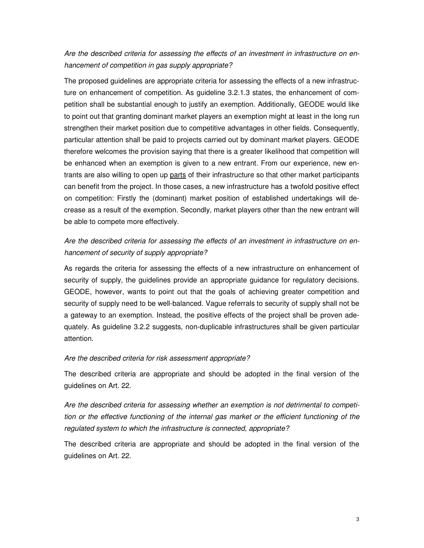# Are the described criteria for assessing the effects of an investment in infrastructure on enhancement of competition in gas supply appropriate?

The proposed guidelines are appropriate criteria for assessing the effects of a new infrastructure on enhancement of competition. As guideline 3.2.1.3 states, the enhancement of competition shall be substantial enough to justify an exemption. Additionally, GEODE would like to point out that granting dominant market players an exemption might at least in the long run strengthen their market position due to competitive advantages in other fields. Consequently, particular attention shall be paid to projects carried out by dominant market players. GEODE therefore welcomes the provision saying that there is a greater likelihood that competition will be enhanced when an exemption is given to a new entrant. From our experience, new entrants are also willing to open up parts of their infrastructure so that other market participants can benefit from the project. In those cases, a new infrastructure has a twofold positive effect on competition: Firstly the (dominant) market position of established undertakings will decrease as a result of the exemption. Secondly, market players other than the new entrant will be able to compete more effectively.

# Are the described criteria for assessing the effects of an investment in infrastructure on enhancement of security of supply appropriate?

As regards the criteria for assessing the effects of a new infrastructure on enhancement of security of supply, the guidelines provide an appropriate guidance for regulatory decisions. GEODE, however, wants to point out that the goals of achieving greater competition and security of supply need to be well-balanced. Vague referrals to security of supply shall not be a gateway to an exemption. Instead, the positive effects of the project shall be proven adequately. As guideline 3.2.2 suggests, non-duplicable infrastructures shall be given particular attention.

#### Are the described criteria for risk assessment appropriate?

The described criteria are appropriate and should be adopted in the final version of the guidelines on Art. 22.

Are the described criteria for assessing whether an exemption is not detrimental to competition or the effective functioning of the internal gas market or the efficient functioning of the regulated system to which the infrastructure is connected, appropriate?

The described criteria are appropriate and should be adopted in the final version of the guidelines on Art. 22.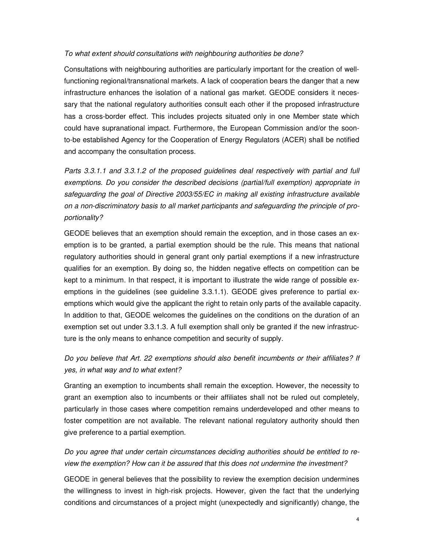#### To what extent should consultations with neighbouring authorities be done?

Consultations with neighbouring authorities are particularly important for the creation of wellfunctioning regional/transnational markets. A lack of cooperation bears the danger that a new infrastructure enhances the isolation of a national gas market. GEODE considers it necessary that the national regulatory authorities consult each other if the proposed infrastructure has a cross-border effect. This includes projects situated only in one Member state which could have supranational impact. Furthermore, the European Commission and/or the soonto-be established Agency for the Cooperation of Energy Regulators (ACER) shall be notified and accompany the consultation process.

Parts 3.3.1.1 and 3.3.1.2 of the proposed guidelines deal respectively with partial and full exemptions. Do you consider the described decisions (partial/full exemption) appropriate in safeguarding the goal of Directive 2003/55/EC in making all existing infrastructure available on a non-discriminatory basis to all market participants and safeguarding the principle of proportionality?

GEODE believes that an exemption should remain the exception, and in those cases an exemption is to be granted, a partial exemption should be the rule. This means that national regulatory authorities should in general grant only partial exemptions if a new infrastructure qualifies for an exemption. By doing so, the hidden negative effects on competition can be kept to a minimum. In that respect, it is important to illustrate the wide range of possible exemptions in the guidelines (see guideline 3.3.1.1). GEODE gives preference to partial exemptions which would give the applicant the right to retain only parts of the available capacity. In addition to that, GEODE welcomes the guidelines on the conditions on the duration of an exemption set out under 3.3.1.3. A full exemption shall only be granted if the new infrastructure is the only means to enhance competition and security of supply.

## Do you believe that Art. 22 exemptions should also benefit incumbents or their affiliates? If yes, in what way and to what extent?

Granting an exemption to incumbents shall remain the exception. However, the necessity to grant an exemption also to incumbents or their affiliates shall not be ruled out completely, particularly in those cases where competition remains underdeveloped and other means to foster competition are not available. The relevant national regulatory authority should then give preference to a partial exemption.

# Do you agree that under certain circumstances deciding authorities should be entitled to review the exemption? How can it be assured that this does not undermine the investment?

GEODE in general believes that the possibility to review the exemption decision undermines the willingness to invest in high-risk projects. However, given the fact that the underlying conditions and circumstances of a project might (unexpectedly and significantly) change, the